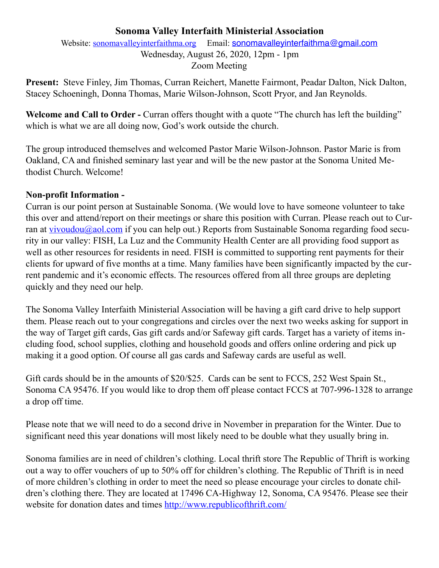# **Sonoma Valley Interfaith Ministerial Association**

Website: [sonomavalleyinterfaithma.org](http://sonomavalleyinterfaithma.org) Email: [sonomavalleyinterfaithma@gmail.com](mailto:sonomavalleyinterfaithma@gmail.com) Wednesday, August 26, 2020, 12pm - 1pm Zoom Meeting

**Present:** Steve Finley, Jim Thomas, Curran Reichert, Manette Fairmont, Peadar Dalton, Nick Dalton, Stacey Schoeningh, Donna Thomas, Marie Wilson-Johnson, Scott Pryor, and Jan Reynolds.

Welcome and Call to Order - Curran offers thought with a quote "The church has left the building" which is what we are all doing now, God's work outside the church.

The group introduced themselves and welcomed Pastor Marie Wilson-Johnson. Pastor Marie is from Oakland, CA and finished seminary last year and will be the new pastor at the Sonoma United Methodist Church. Welcome!

# **Non-profit Information -**

Curran is our point person at Sustainable Sonoma. (We would love to have someone volunteer to take this over and attend/report on their meetings or share this position with Curran. Please reach out to Curran at [vivoudou@aol.com](mailto:vivoudou@aol.com) if you can help out.) Reports from Sustainable Sonoma regarding food security in our valley: FISH, La Luz and the Community Health Center are all providing food support as well as other resources for residents in need. FISH is committed to supporting rent payments for their clients for upward of five months at a time. Many families have been significantly impacted by the current pandemic and it's economic effects. The resources offered from all three groups are depleting quickly and they need our help.

The Sonoma Valley Interfaith Ministerial Association will be having a gift card drive to help support them. Please reach out to your congregations and circles over the next two weeks asking for support in the way of Target gift cards, Gas gift cards and/or Safeway gift cards. Target has a variety of items including food, school supplies, clothing and household goods and offers online ordering and pick up making it a good option. Of course all gas cards and Safeway cards are useful as well.

Gift cards should be in the amounts of \$20/\$25. Cards can be sent to FCCS, 252 West Spain St., Sonoma CA 95476. If you would like to drop them off please contact FCCS at 707-996-1328 to arrange a drop off time.

Please note that we will need to do a second drive in November in preparation for the Winter. Due to significant need this year donations will most likely need to be double what they usually bring in.

Sonoma families are in need of children's clothing. Local thrift store The Republic of Thrift is working out a way to offer vouchers of up to 50% off for children's clothing. The Republic of Thrift is in need of more children's clothing in order to meet the need so please encourage your circles to donate children's clothing there. They are located at 17496 CA-Highway 12, Sonoma, CA 95476. Please see their website for donation dates and times <http://www.republicofthrift.com/>